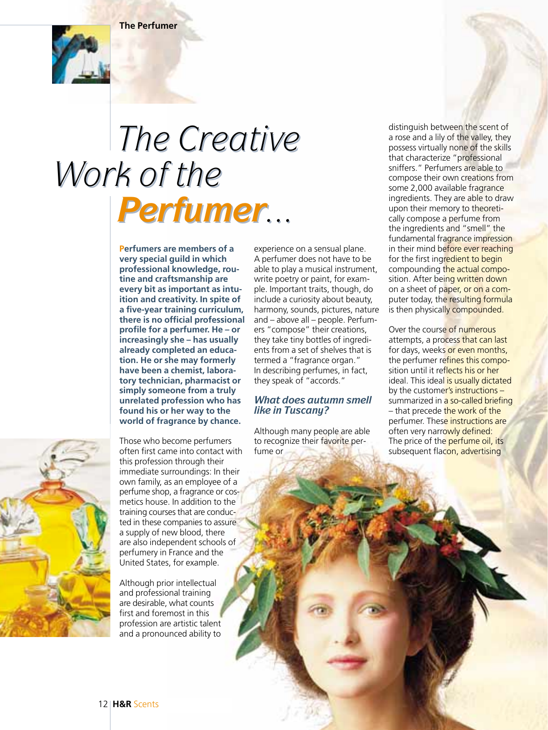**The Perfumer**



## *The Creative The Creative Work of the Work of the Perfumer... Perfumer...*

**Perfumers are members of a very special guild in which professional knowledge, routine and craftsmanship are every bit as important as intuition and creativity. In spite of a five-year training curriculum, there is no official professional profile for a perfumer. He – or increasingly she – has usually already completed an education. He or she may formerly have been a chemist, laboratory technician, pharmacist or simply someone from a truly unrelated profession who has found his or her way to the world of fragrance by chance.**

Those who become perfumers often first came into contact with this profession through their immediate surroundings: In their own family, as an employee of a perfume shop, a fragrance or cosmetics house. In addition to the training courses that are conducted in these companies to assure a supply of new blood, there are also independent schools of perfumery in France and the United States, for example.

Although prior intellectual and professional training are desirable, what counts first and foremost in this profession are artistic talent and a pronounced ability to

experience on a sensual plane. A perfumer does not have to be able to play a musical instrument, write poetry or paint, for example. Important traits, though, do include a curiosity about beauty, harmony, sounds, pictures, nature and – above all – people. Perfumers "compose" their creations, they take tiny bottles of ingredients from a set of shelves that is termed a "fragrance organ." In describing perfumes, in fact, they speak of "accords."

## *What does autumn smell like in Tuscany?*

Although many people are able to recognize their favorite perfume or

distinguish between the scent of a rose and a lily of the valley, they possess virtually none of the skills that characterize "professional sniffers." Perfumers are able to compose their own creations from some 2,000 available fragrance ingredients. They are able to draw upon their memory to theoretically compose a perfume from the ingredients and "smell" the fundamental fragrance impression in their mind before ever reaching for the first ingredient to begin compounding the actual composition. After being written down on a sheet of paper, or on a computer today, the resulting formula is then physically compounded.

Over the course of numerous attempts, a process that can last for days, weeks or even months, the perfumer refines this composition until it reflects his or her ideal. This ideal is usually dictated by the customer's instructions summarized in a so-called briefing – that precede the work of the perfumer. These instructions are often very narrowly defined: The price of the perfume oil, its subsequent flacon, advertising